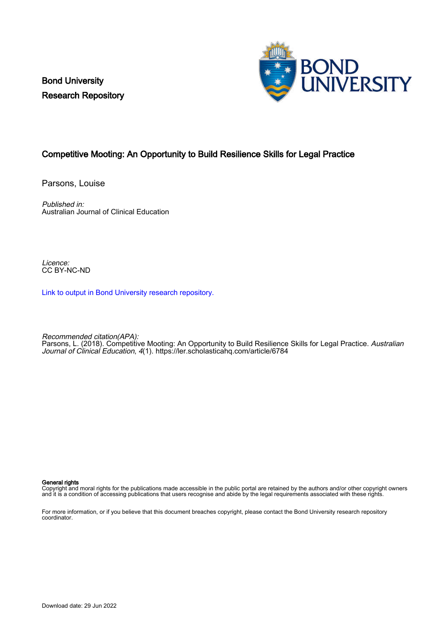Bond University Research Repository



# Competitive Mooting: An Opportunity to Build Resilience Skills for Legal Practice

Parsons, Louise

Published in: Australian Journal of Clinical Education

Licence: CC BY-NC-ND

[Link to output in Bond University research repository.](https://research.bond.edu.au/en/publications/9b9ac11c-6c76-49bd-ab73-cf6d52ace795)

Recommended citation(APA): Parsons, L. (2018). Competitive Mooting: An Opportunity to Build Resilience Skills for Legal Practice. *Australian* Journal of Clinical Education, 4(1). <https://ler.scholasticahq.com/article/6784>

#### General rights

Copyright and moral rights for the publications made accessible in the public portal are retained by the authors and/or other copyright owners and it is a condition of accessing publications that users recognise and abide by the legal requirements associated with these rights.

For more information, or if you believe that this document breaches copyright, please contact the Bond University research repository coordinator.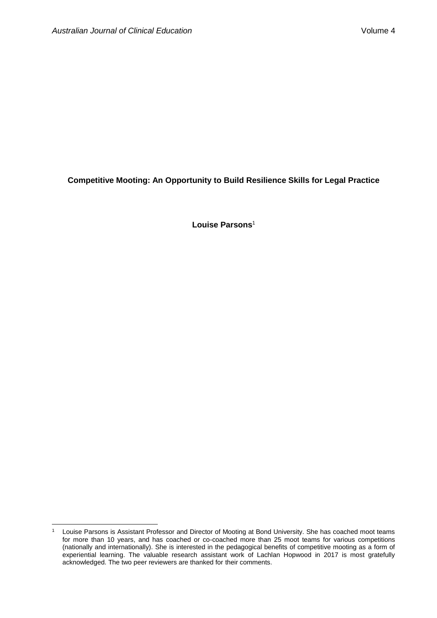$\overline{a}$ 

**Competitive Mooting: An Opportunity to Build Resilience Skills for Legal Practice**

**Louise Parsons**<sup>1</sup>

<sup>&</sup>lt;sup>1</sup> Louise Parsons is Assistant Professor and Director of Mooting at Bond University. She has coached moot teams for more than 10 years, and has coached or co-coached more than 25 moot teams for various competitions (nationally and internationally). She is interested in the pedagogical benefits of competitive mooting as a form of experiential learning. The valuable research assistant work of Lachlan Hopwood in 2017 is most gratefully acknowledged. The two peer reviewers are thanked for their comments.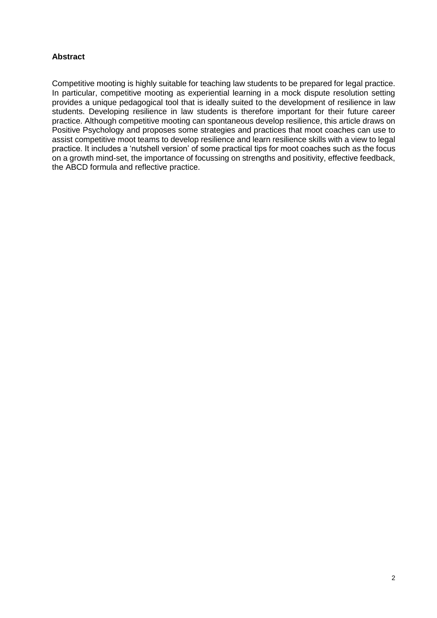# **Abstract**

Competitive mooting is highly suitable for teaching law students to be prepared for legal practice. In particular, competitive mooting as experiential learning in a mock dispute resolution setting provides a unique pedagogical tool that is ideally suited to the development of resilience in law students. Developing resilience in law students is therefore important for their future career practice. Although competitive mooting can spontaneous develop resilience, this article draws on Positive Psychology and proposes some strategies and practices that moot coaches can use to assist competitive moot teams to develop resilience and learn resilience skills with a view to legal practice. It includes a 'nutshell version' of some practical tips for moot coaches such as the focus on a growth mind-set, the importance of focussing on strengths and positivity, effective feedback, the ABCD formula and reflective practice.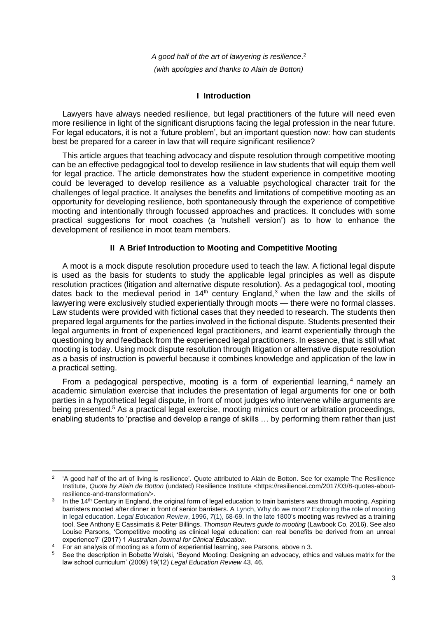*A good half of the art of lawyering is resilience*. 2 *(with apologies and thanks to Alain de Botton)*

# **I Introduction**

Lawyers have always needed resilience, but legal practitioners of the future will need even more resilience in light of the significant disruptions facing the legal profession in the near future. For legal educators, it is not a 'future problem', but an important question now: how can students best be prepared for a career in law that will require significant resilience?

This article argues that teaching advocacy and dispute resolution through competitive mooting can be an effective pedagogical tool to develop resilience in law students that will equip them well for legal practice. The article demonstrates how the student experience in competitive mooting could be leveraged to develop resilience as a valuable psychological character trait for the challenges of legal practice. It analyses the benefits and limitations of competitive mooting as an opportunity for developing resilience, both spontaneously through the experience of competitive mooting and intentionally through focussed approaches and practices. It concludes with some practical suggestions for moot coaches (a 'nutshell version') as to how to enhance the development of resilience in moot team members.

# **II A Brief Introduction to Mooting and Competitive Mooting**

A moot is a mock dispute resolution procedure used to teach the law. A fictional legal dispute is used as the basis for students to study the applicable legal principles as well as dispute resolution practices (litigation and alternative dispute resolution). As a pedagogical tool, mooting dates back to the medieval period in  $14<sup>th</sup>$  century England,<sup>3</sup> when the law and the skills of lawyering were exclusively studied experientially through moots — there were no formal classes. Law students were provided with fictional cases that they needed to research. The students then prepared legal arguments for the parties involved in the fictional dispute. Students presented their legal arguments in front of experienced legal practitioners, and learnt experientially through the questioning by and feedback from the experienced legal practitioners. In essence, that is still what mooting is today. Using mock dispute resolution through litigation or alternative dispute resolution as a basis of instruction is powerful because it combines knowledge and application of the law in a practical setting.

From a pedagogical perspective, mooting is a form of experiential learning,<sup>4</sup> namely an academic simulation exercise that includes the presentation of legal arguments for one or both parties in a hypothetical legal dispute, in front of moot judges who intervene while arguments are being presented.<sup>5</sup> As a practical legal exercise, mooting mimics court or arbitration proceedings, enabling students to 'practise and develop a range of skills … by performing them rather than just

 $\overline{a}$ 2 'A good half of the art of living is resilience'. Quote attributed to Alain de Botton. See for example The Resilience Institute, *Quote by Alain de Botton* (undated) Resilience Institute <https://resiliencei.com/2017/03/8-quotes-aboutresilience-and-transformation/>.

<sup>3</sup> In the 14<sup>th</sup> Century in England, the original form of legal education to train barristers was through mooting. Aspiring barristers mooted after dinner in front of senior barristers. A Lynch, Why do we moot? Exploring the role of mooting in legal education. *Legal Education Review*, 1996, *7*(1), 68-69. In the late 1800's mooting was revived as a training tool. See Anthony E Cassimatis & Peter Billings. *Thomson Reuters guide to mooting* (Lawbook Co, 2016). See also Louise Parsons, 'Competitive mooting as clinical legal education: can real benefits be derived from an unreal experience?' (2017) 1 *Australian Journal for Clinical Education*.

<sup>4</sup> For an analysis of mooting as a form of experiential learning, see Parsons, above n 3.

<sup>5</sup> See the description in Bobette Wolski, 'Beyond Mooting: Designing an advocacy, ethics and values matrix for the law school curriculum' (2009) 19(12) *Legal Education Review* 43, 46.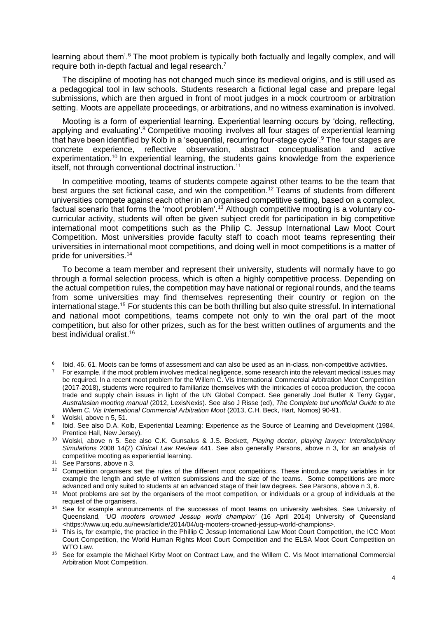learning about them'.<sup>6</sup> The moot problem is typically both factually and legally complex, and will require both in-depth factual and legal research.<sup>7</sup>

The discipline of mooting has not changed much since its medieval origins, and is still used as a pedagogical tool in law schools. Students research a fictional legal case and prepare legal submissions, which are then argued in front of moot judges in a mock courtroom or arbitration setting. Moots are appellate proceedings, or arbitrations, and no witness examination is involved.

Mooting is a form of experiential learning. Experiential learning occurs by 'doing, reflecting, applying and evaluating'.<sup>8</sup> Competitive mooting involves all four stages of experiential learning that have been identified by Kolb in a 'sequential, recurring four-stage cycle'.<sup>9</sup> The four stages are concrete experience, reflective observation, abstract conceptualisation and active experimentation.<sup>10</sup> In experiential learning, the students gains knowledge from the experience itself, not through conventional doctrinal instruction.<sup>11</sup>

In competitive mooting, teams of students compete against other teams to be the team that best argues the set fictional case, and win the competition.<sup>12</sup> Teams of students from different universities compete against each other in an organised competitive setting, based on a complex, factual scenario that forms the 'moot problem'.<sup>13</sup> Although competitive mooting is a voluntary cocurricular activity, students will often be given subject credit for participation in big competitive international moot competitions such as the Philip C. Jessup International Law Moot Court Competition. Most universities provide faculty staff to coach moot teams representing their universities in international moot competitions, and doing well in moot competitions is a matter of pride for universities.<sup>14</sup>

To become a team member and represent their university, students will normally have to go through a formal selection process, which is often a highly competitive process. Depending on the actual competition rules, the competition may have national or regional rounds, and the teams from some universities may find themselves representing their country or region on the international stage.<sup>15</sup> For students this can be both thrilling but also quite stressful. In international and national moot competitions, teams compete not only to win the oral part of the moot competition, but also for other prizes, such as for the best written outlines of arguments and the best individual oralist.<sup>16</sup>

<sup>6</sup> Ibid, 46, 61. Moots can be forms of assessment and can also be used as an in-class, non-competitive activities.

For example, if the moot problem involves medical negligence, some research into the relevant medical issues may be required. In a recent moot problem for the Willem C. Vis International Commercial Arbitration Moot Competition (2017-2018), students were required to familiarize themselves with the intricacies of cocoa production, the cocoa trade and supply chain issues in light of the UN Global Compact. See generally Joel Butler & Terry Gygar, *Australasian mooting manual* (2012, LexisNexis). See also J Risse (ed), *The Complete but unofficial Guide to the Willem C. Vis International Commercial Arbitration Moot* (2013, C.H. Beck, Hart, Nomos) 90-91.

<sup>8</sup> Wolski, above n 5, 51.

<sup>9</sup> Ibid. See also D.A. Kolb, Experiential Learning: Experience as the Source of Learning and Development (1984, Prentice Hall, New Jersey).

<sup>10</sup> Wolski, above n 5. See also C.K. Gunsalus & J.S. Beckett, *Playing doctor, playing lawyer: Interdisciplinary Simulations* 2008 14(2) *Clinical Law Review* 441. See also generally Parsons, above n 3, for an analysis of competitive mooting as experiential learning.

<sup>11</sup> See Parsons, above n 3.

<sup>&</sup>lt;sup>12</sup> Competition organisers set the rules of the different moot competitions. These introduce many variables in for example the length and style of written submissions and the size of the teams. Some competitions are more advanced and only suited to students at an advanced stage of their law degrees. See Parsons, above n 3, 6.

<sup>&</sup>lt;sup>13</sup> Moot problems are set by the organisers of the moot competition, or individuals or a group of individuals at the request of the organisers.

<sup>&</sup>lt;sup>14</sup> See for example announcements of the successes of moot teams on university websites. See University of Queensland, *'UQ mooters crowned Jessup world champion'* (16 April 2014) University of Queensland <https://www.uq.edu.au/news/article/2014/04/uq-mooters-crowned-jessup-world-champions>.

<sup>&</sup>lt;sup>15</sup> This is, for example, the practice in the Phillip C Jessup International Law Moot Court Competition, the ICC Moot Court Competition, the World Human Rights Moot Court Competition and the ELSA Moot Court Competition on WTO Law.

<sup>16</sup> See for example the Michael Kirby Moot on Contract Law, and the Willem C. Vis Moot International Commercial Arbitration Moot Competition.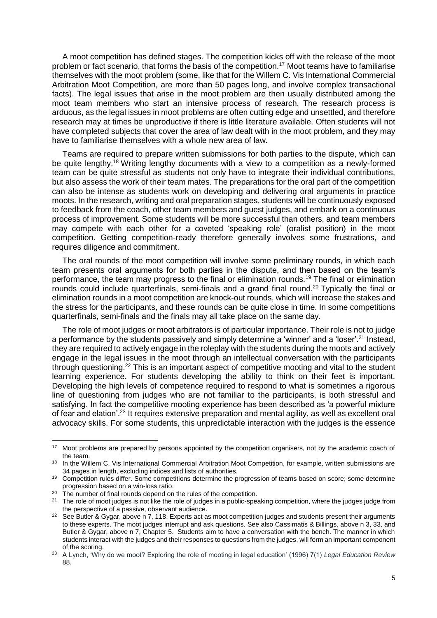A moot competition has defined stages. The competition kicks off with the release of the moot problem or fact scenario, that forms the basis of the competition.<sup>17</sup> Moot teams have to familiarise themselves with the moot problem (some, like that for the Willem C. Vis International Commercial Arbitration Moot Competition, are more than 50 pages long, and involve complex transactional facts). The legal issues that arise in the moot problem are then usually distributed among the moot team members who start an intensive process of research. The research process is arduous, as the legal issues in moot problems are often cutting edge and unsettled, and therefore research may at times be unproductive if there is little literature available. Often students will not have completed subjects that cover the area of law dealt with in the moot problem, and they may have to familiarise themselves with a whole new area of law.

Teams are required to prepare written submissions for both parties to the dispute, which can be quite lengthy.<sup>18</sup> Writing lengthy documents with a view to a competition as a newly-formed team can be quite stressful as students not only have to integrate their individual contributions, but also assess the work of their team mates. The preparations for the oral part of the competition can also be intense as students work on developing and delivering oral arguments in practice moots. In the research, writing and oral preparation stages, students will be continuously exposed to feedback from the coach, other team members and guest judges, and embark on a continuous process of improvement. Some students will be more successful than others, and team members may compete with each other for a coveted 'speaking role' (oralist position) in the moot competition. Getting competition-ready therefore generally involves some frustrations, and requires diligence and commitment.

The oral rounds of the moot competition will involve some preliminary rounds, in which each team presents oral arguments for both parties in the dispute, and then based on the team's performance, the team may progress to the final or elimination rounds.<sup>19</sup> The final or elimination rounds could include quarterfinals, semi-finals and a grand final round.<sup>20</sup> Typically the final or elimination rounds in a moot competition are knock-out rounds, which will increase the stakes and the stress for the participants, and these rounds can be quite close in time. In some competitions quarterfinals, semi-finals and the finals may all take place on the same day.

The role of moot judges or moot arbitrators is of particular importance. Their role is not to judge a performance by the students passively and simply determine a 'winner' and a 'loser'.<sup>21</sup> Instead, they are required to actively engage in the roleplay with the students during the moots and actively engage in the legal issues in the moot through an intellectual conversation with the participants through questioning.<sup>22</sup> This is an important aspect of competitive mooting and vital to the student learning experience. For students developing the ability to think on their feet is important. Developing the high levels of competence required to respond to what is sometimes a rigorous line of questioning from judges who are not familiar to the participants, is both stressful and satisfying. In fact the competitive mooting experience has been described as 'a powerful mixture of fear and elation'.<sup>23</sup> It requires extensive preparation and mental agility, as well as excellent oral advocacy skills. For some students, this unpredictable interaction with the judges is the essence

<sup>&</sup>lt;sup>17</sup> Moot problems are prepared by persons appointed by the competition organisers, not by the academic coach of the team.

<sup>&</sup>lt;sup>18</sup> In the Willem C. Vis International Commercial Arbitration Moot Competition, for example, written submissions are 34 pages in length, excluding indices and lists of authorities.

<sup>&</sup>lt;sup>19</sup> Competition rules differ. Some competitions determine the progression of teams based on score; some determine progression based on a win-loss ratio.

<sup>&</sup>lt;sup>20</sup> The number of final rounds depend on the rules of the competition.

<sup>&</sup>lt;sup>21</sup> The role of moot judges is not like the role of judges in a public-speaking competition, where the judges judge from the perspective of a passive, observant audience.

<sup>&</sup>lt;sup>22</sup> See Butler & Gygar, above n 7, 118. Experts act as moot competition judges and students present their arguments to these experts. The moot judges interrupt and ask questions. See also Cassimatis & Billings, above n 3, 33, and Butler & Gygar, above n 7, Chapter 5. Students aim to have a conversation with the bench. The manner in which students interact with the judges and their responses to questions from the judges, will form an important component of the scoring.

<sup>23</sup> A Lynch, 'Why do we moot? Exploring the role of mooting in legal education' (1996) 7(1) *Legal Education Review*  88.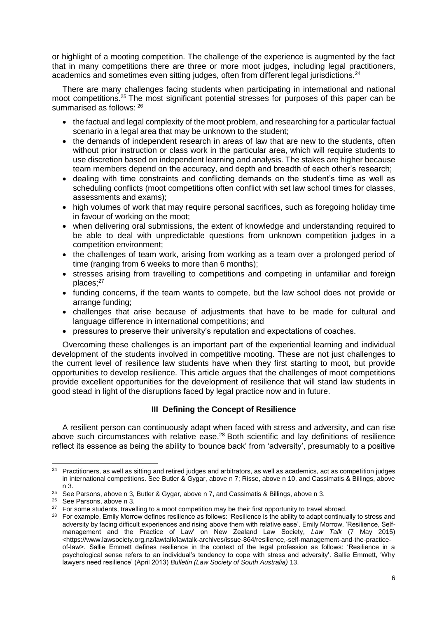or highlight of a mooting competition. The challenge of the experience is augmented by the fact that in many competitions there are three or more moot judges, including legal practitioners, academics and sometimes even sitting judges, often from different legal jurisdictions.<sup>24</sup>

There are many challenges facing students when participating in international and national moot competitions.<sup>25</sup> The most significant potential stresses for purposes of this paper can be summarised as follows: <sup>26</sup>

- the factual and legal complexity of the moot problem, and researching for a particular factual scenario in a legal area that may be unknown to the student;
- the demands of independent research in areas of law that are new to the students, often without prior instruction or class work in the particular area, which will require students to use discretion based on independent learning and analysis. The stakes are higher because team members depend on the accuracy, and depth and breadth of each other's research;
- dealing with time constraints and conflicting demands on the student's time as well as scheduling conflicts (moot competitions often conflict with set law school times for classes, assessments and exams);
- high volumes of work that may require personal sacrifices, such as foregoing holiday time in favour of working on the moot;
- when delivering oral submissions, the extent of knowledge and understanding required to be able to deal with unpredictable questions from unknown competition judges in a competition environment;
- the challenges of team work, arising from working as a team over a prolonged period of time (ranging from 6 weeks to more than 6 months);
- stresses arising from travelling to competitions and competing in unfamiliar and foreign places:<sup>27</sup>
- funding concerns, if the team wants to compete, but the law school does not provide or arrange funding;
- challenges that arise because of adjustments that have to be made for cultural and language difference in international competitions; and
- pressures to preserve their university's reputation and expectations of coaches.

Overcoming these challenges is an important part of the experiential learning and individual development of the students involved in competitive mooting. These are not just challenges to the current level of resilience law students have when they first starting to moot, but provide opportunities to develop resilience. This article argues that the challenges of moot competitions provide excellent opportunities for the development of resilience that will stand law students in good stead in light of the disruptions faced by legal practice now and in future.

# **III Defining the Concept of Resilience**

A resilient person can continuously adapt when faced with stress and adversity, and can rise above such circumstances with relative ease.<sup>28</sup> Both scientific and lay definitions of resilience reflect its essence as being the ability to 'bounce back' from 'adversity', presumably to a positive

 $\overline{a}$  $24$  Practitioners, as well as sitting and retired judges and arbitrators, as well as academics, act as competition judges in international competitions. See Butler & Gygar, above n 7; Risse, above n 10, and Cassimatis & Billings, above n 3.

<sup>&</sup>lt;sup>25</sup> See Parsons, above n 3, Butler & Gygar, above n 7, and Cassimatis & Billings, above n 3.

<sup>26</sup> See Parsons, above n 3.

<sup>&</sup>lt;sup>27</sup> For some students, travelling to a moot competition may be their first opportunity to travel abroad.

<sup>&</sup>lt;sup>28</sup> For example, Emily Morrow defines resilience as follows: 'Resilience is the ability to adapt continually to stress and adversity by facing difficult experiences and rising above them with relative ease'. Emily Morrow, 'Resilience, Selfmanagement and the Practice of Law' on New Zealand Law Society, *Law Talk* (7 May 2015) <https://www.lawsociety.org.nz/lawtalk/lawtalk-archives/issue-864/resilience,-self-management-and-the-practiceof-law>. Sallie Emmett defines resilience in the context of the legal profession as follows: 'Resilience in a psychological sense refers to an individual's tendency to cope with stress and adversity'. Sallie Emmett, 'Why lawyers need resilience' (April 2013) *Bulletin (Law Society of South Australia)* 13.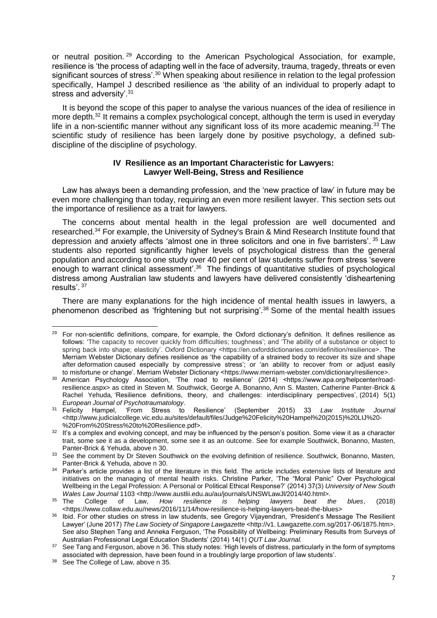or neutral position.<sup>29</sup> According to the American Psychological Association, for example, resilience is 'the process of adapting well in the face of adversity, trauma, tragedy, threats or even significant sources of stress'.<sup>30</sup> When speaking about resilience in relation to the legal profession specifically, Hampel J described resilience as 'the ability of an individual to properly adapt to stress and adversity'.<sup>31</sup>

It is beyond the scope of this paper to analyse the various nuances of the idea of resilience in more depth.<sup>32</sup> It remains a complex psychological concept, although the term is used in everyday life in a non-scientific manner without any significant loss of its more academic meaning.<sup>33</sup> The scientific study of resilience has been largely done by positive psychology, a defined subdiscipline of the discipline of psychology.

### **IV Resilience as an Important Characteristic for Lawyers: Lawyer Well-Being, Stress and Resilience**

Law has always been a demanding profession, and the 'new practice of law' in future may be even more challenging than today, requiring an even more resilient lawyer. This section sets out the importance of resilience as a trait for lawyers.

The concerns about mental health in the legal profession are well documented and researched.<sup>34</sup> For example, the University of Sydney's Brain & Mind Research Institute found that depression and anxiety affects 'almost one in three solicitors and one in five barristers'. <sup>35</sup> Law students also reported significantly higher levels of psychological distress than the general population and according to one study over 40 per cent of law students suffer from stress 'severe enough to warrant clinical assessment<sup>', 36</sup> The findings of quantitative studies of psychological distress among Australian law students and lawyers have delivered consistently 'disheartening results'. <sup>37</sup>

There are many explanations for the high incidence of mental health issues in lawyers, a phenomenon described as 'frightening but not surprising'.<sup>38</sup> Some of the mental health issues

<sup>&</sup>lt;sup>29</sup> For non-scientific definitions, compare, for example, the Oxford dictionary's definition. It defines resilience as follows: 'The capacity to recover quickly from difficulties; toughness'; and 'The ability of a substance or object to spring back into shape; elasticity'. Oxford Dictionary <https://en.oxforddictionaries.com/definition/resilience>. The Merriam Webster Dictionary defines resilience as 'the capability of a strained body to recover its size and shape after deformation caused especially by compressive stress'; or 'an ability to recover from or adjust easily to misfortune or change'. Merriam Webster Dictionary <https://www.merriam-webster.com/dictionary/resilience>.

<sup>30</sup> American Psychology Association, 'The road to resilience' (2014) <https://www.apa.org/helpcenter/roadresilience.aspx> as cited in Steven M. Southwick, George A. Bonanno, Ann S. Masten, Catherine Panter-Brick & Rachel Yehuda, 'Resilience definitions, theory, and challenges: interdisciplinary perspectives', (2014) 5(1) *European Journal of Psychotraumatology*.

<sup>31</sup> Felicity Hampel, 'From Stress to Resilience' (September 2015) 33 *Law Institute Journal* <http://www.judicialcollege.vic.edu.au/sites/default/files/Judge%20Felicity%20Hampel%20(2015)%20LIJ%20- %20From%20Stress%20to%20Resilience.pdf>.

<sup>&</sup>lt;sup>32</sup> It's a complex and evolving concept, and may be influenced by the person's position. Some view it as a character trait, some see it as a development, some see it as an outcome. See for example Southwick, Bonanno, Masten, Panter-Brick & Yehuda, above n 30.

<sup>&</sup>lt;sup>33</sup> See the comment by Dr Steven Southwick on the evolving definition of resilience. Southwick, Bonanno, Masten, Panter-Brick & Yehuda, above n 30.

<sup>&</sup>lt;sup>34</sup> Parker's article provides a list of the literature in this field. The article includes extensive lists of literature and initiatives on the managing of mental health risks. Christine Parker, 'The "Moral Panic" Over Psychological Wellbeing in the Legal Profession: A Personal or Political Ethical Response?' (2014) 37(3) *University of New South Wales Law Journal* 1103 <http://www.austlii.edu.au/au/journals/UNSWLawJl/2014/40.html>.

<sup>35</sup> The College of Law, *How resilience is helping lawyers beat the blues*, (2018) <https://www.collaw.edu.au/news/2016/11/14/how-resilience-is-helping-lawyers-beat-the-blues>

<sup>36</sup> Ibid. For other studies on stress in law students, see Gregory Vijayendran, 'President's Message The Resilient Lawyer' (June 2017) *The Law Society of Singapore Lawgazette* <http://v1. Lawgazette.com.sg/2017-06/1875.htm>. See also Stephen Tang and Anneka Ferguson, 'The Possibility of Wellbeing: Preliminary Results from Surveys of Australian Professional Legal Education Students' (2014) 14(1) *QUT Law Journal.*

<sup>37</sup> See Tang and Ferguson, above n 36. This study notes: 'High levels of distress, particularly in the form of symptoms associated with depression, have been found in a troublingly large proportion of law students'.

<sup>38</sup> See The College of Law, above n 35.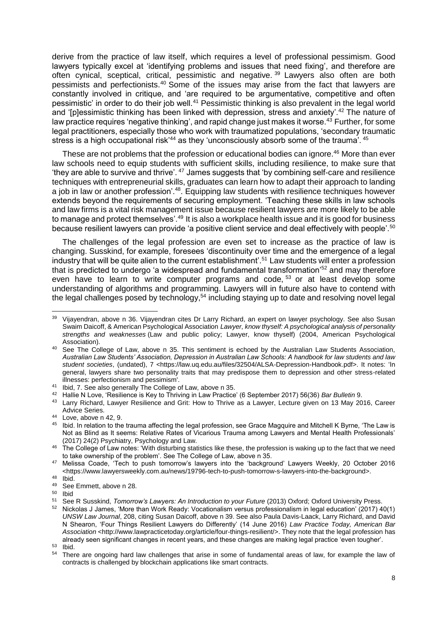derive from the practice of law itself, which requires a level of professional pessimism. Good lawyers typically excel at 'identifying problems and issues that need fixing', and therefore are often cynical, sceptical, critical, pessimistic and negative.<sup>39</sup> Lawyers also often are both pessimists and perfectionists.<sup>40</sup> Some of the issues may arise from the fact that lawyers are constantly involved in critique, and 'are required to be argumentative, competitive and often pessimistic' in order to do their job well.<sup>41</sup> Pessimistic thinking is also prevalent in the legal world and '[p]essimistic thinking has been linked with depression, stress and anxiety'.<sup>42</sup> The nature of law practice requires 'negative thinking', and rapid change just makes it worse.<sup>43</sup> Further, for some legal practitioners, especially those who work with traumatized populations, 'secondary traumatic stress is a high occupational risk<sup>144</sup> as they 'unconsciously absorb some of the trauma'. <sup>45</sup>

These are not problems that the profession or educational bodies can ignore.<sup>46</sup> More than ever law schools need to equip students with sufficient skills, including resilience, to make sure that 'they are able to survive and thrive'. <sup>47</sup> James suggests that 'by combining self-care and resilience techniques with entrepreneurial skills, graduates can learn how to adapt their approach to landing a job in law or another profession'.<sup>48</sup>. Equipping law students with resilience techniques however extends beyond the requirements of securing employment. 'Teaching these skills in law schools and law firms is a vital risk management issue because resilient lawyers are more likely to be able to manage and protect themselves'.<sup>49</sup> It is also a workplace health issue and it is good for business because resilient lawyers can provide 'a positive client service and deal effectively with people'.<sup>50</sup>

The challenges of the legal profession are even set to increase as the practice of law is changing. Susskind, for example, foresees 'discontinuity over time and the emergence of a legal industry that will be quite alien to the current establishment'.<sup>51</sup> Law students will enter a profession that is predicted to undergo 'a widespread and fundamental transformation'<sup>52</sup> and may therefore even have to learn to write computer programs and code, <sup>53</sup> or at least develop some understanding of algorithms and programming. Lawyers will in future also have to contend with the legal challenges posed by technology,<sup>54</sup> including staying up to date and resolving novel legal

l <sup>39</sup> Vijayendran, above n 36. Vijayendran cites Dr Larry Richard, an expert on lawyer psychology. See also Susan Swaim Daicoff, & American Psychological Association *Lawyer, know thyself: A psychological analysis of personality strengths and weaknesses* (Law and public policy; Lawyer, know thyself) (2004, American Psychological Association).

<sup>40</sup> See The College of Law, above n 35. This sentiment is echoed by the Australian Law Students Association, *Australian Law Students' Association, Depression in Australian Law Schools: A handbook for law students and law student societies*, (undated), 7 <https://law.uq.edu.au/files/32504/ALSA-Depression-Handbook.pdf>. It notes: 'In general, lawyers share two personality traits that may predispose them to depression and other stress-related illnesses: perfectionism and pessimism'.

<sup>41</sup> Ibid, 7. See also generally The College of Law, above n 35.

<sup>42</sup> Hallie N Love, 'Resilience is Key to Thriving in Law Practice' (6 September 2017) 56(36) *Bar Bulletin* 9.

<sup>43</sup> Larry Richard, Lawyer Resilience and Grit: How to Thrive as a Lawyer, Lecture given on 13 May 2016, Career Advice Series.

 $44$  Love, above n 42, 9.

<sup>45</sup> Ibid. In relation to the trauma affecting the legal profession, see Grace Magquire and Mitchell K Byrne, 'The Law is Not as Blind as It seems: Relative Rates of Vicarious Trauma among Lawyers and Mental Health Professionals' (2017) 24(2) Psychiatry, Psychology and Law.

<sup>&</sup>lt;sup>46</sup> The College of Law notes: 'With disturbing statistics like these, the profession is waking up to the fact that we need to take ownership of the problem'. See The College of Law, above n 35.

<sup>47</sup> Melissa Coade, 'Tech to push tomorrow's lawyers into the 'background' Lawyers Weekly, 20 October 2016 <https://www.lawyersweekly.com.au/news/19796-tech-to-push-tomorrow-s-lawyers-into-the-background>.

 $48$  Ibid.

See Emmett, above n 28.

<sup>50</sup> Ibid

<sup>51</sup> See R Susskind, *Tomorrow's Lawyers: An Introduction to your Future* (2013) Oxford; Oxford University Press.

<sup>52</sup> Nickolas J James, 'More than Work Ready: Vocationalism versus professionalism in legal education' (2017) 40(1) *UNSW Law Journal*, 208, citing Susan Daicoff, above n 39. See also Paula Davis-Laack, Larry Richard, and David N Shearon, 'Four Things Resilient Lawyers do Differently' (14 June 2016) *Law Practice Today, American Bar Association* <http://www.lawpracticetoday.org/article/four-things-resilient/>. They note that the legal profession has already seen significant changes in recent years, and these changes are making legal practice 'even tougher'.  $53$  Ibid.<br> $54$  Then

There are ongoing hard law challenges that arise in some of fundamental areas of law, for example the law of contracts is challenged by blockchain applications like smart contracts.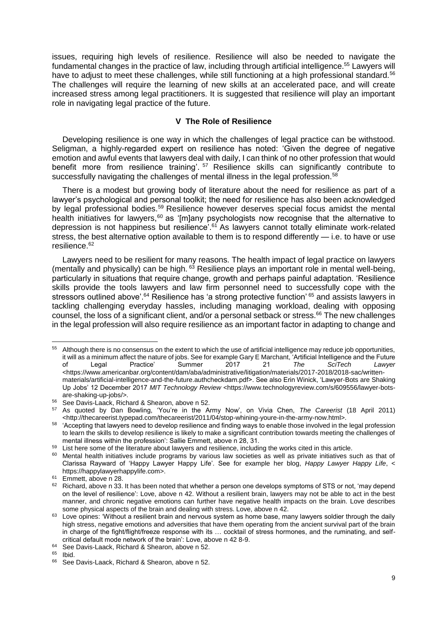issues, requiring high levels of resilience. Resilience will also be needed to navigate the fundamental changes in the practice of law, including through artificial intelligence.<sup>55</sup> Lawyers will have to adjust to meet these challenges, while still functioning at a high professional standard.<sup>56</sup> The challenges will require the learning of new skills at an accelerated pace, and will create increased stress among legal practitioners. It is suggested that resilience will play an important role in navigating legal practice of the future.

### **V The Role of Resilience**

Developing resilience is one way in which the challenges of legal practice can be withstood. Seligman, a highly-regarded expert on resilience has noted: 'Given the degree of negative emotion and awful events that lawyers deal with daily, I can think of no other profession that would benefit more from resilience training'. <sup>57</sup> Resilience skills can significantly contribute to successfully navigating the challenges of mental illness in the legal profession.<sup>58</sup>

There is a modest but growing body of literature about the need for resilience as part of a lawyer's psychological and personal toolkit; the need for resilience has also been acknowledged by legal professional bodies.<sup>59</sup> Resilience however deserves special focus amidst the mental health initiatives for lawyers,<sup>60</sup> as '[m]any psychologists now recognise that the alternative to depression is not happiness but resilience<sup>'. 61</sup> As lawyers cannot totally eliminate work-related stress, the best alternative option available to them is to respond differently — i.e. to have or use resilience.<sup>62</sup>

Lawyers need to be resilient for many reasons. The health impact of legal practice on lawyers (mentally and physically) can be high. <sup>63</sup> Resilience plays an important role in mental well-being, particularly in situations that require change, growth and perhaps painful adaptation. 'Resilience skills provide the tools lawyers and law firm personnel need to successfully cope with the stressors outlined above'.<sup>64</sup> Resilience has 'a strong protective function' <sup>65</sup> and assists lawyers in tackling challenging everyday hassles, including managing workload, dealing with opposing counsel, the loss of a significant client, and/or a personal setback or stress.<sup>66</sup> The new challenges in the legal profession will also require resilience as an important factor in adapting to change and

<sup>&</sup>lt;sup>55</sup> Although there is no consensus on the extent to which the use of artificial intelligence may reduce job opportunities, it will as a minimum affect the nature of jobs. See for example Gary E Marchant, 'Artificial Intelligence and the Future of Legal Practice' Summer 2017 21 *The SciTech Lawyer* <https://www.americanbar.org/content/dam/aba/administrative/litigation/materials/2017-2018/2018-sac/writtenmaterials/artificial-intelligence-and-the-future.authcheckdam.pdf>. See also Erin Winick, 'Lawyer-Bots are Shaking Up Jobs' 12 December 2017 *MIT Technology Review* <https://www.technologyreview.com/s/609556/lawyer-botsare-shaking-up-jobs/>.

<sup>56</sup> See Davis-Laack, Richard & Shearon, above n 52.

<sup>57</sup> As quoted by Dan Bowling, 'You're in the Army Now', on Vivia Chen, *The Careerist* (18 April 2011) <http://thecareerist.typepad.com/thecareerist/2011/04/stop-whining-youre-in-the-army-now.html>.

<sup>58</sup> 'Accepting that lawyers need to develop resilience and finding ways to enable those involved in the legal profession to learn the skills to develop resilience is likely to make a significant contribution towards meeting the challenges of mental illness within the profession': Sallie Emmett, above n 28, 31.

<sup>59</sup> List here some of the literature about lawyers and resilience, including the works cited in this article.

<sup>&</sup>lt;sup>60</sup> Mental health initiatives include programs by various law societies as well as private initiatives such as that of Clarissa Rayward of 'Happy Lawyer Happy Life'. See for example her blog, *Happy Lawyer Happy Life*, < https://happylawyerhappylife.com>.

<sup>&</sup>lt;sup>61</sup> Emmett, above n 28.

<sup>&</sup>lt;sup>62</sup> Richard. above n 33. It has been noted that whether a person one develops symptoms of STS or not, 'may depend on the level of resilience': Love, above n 42. Without a resilient brain, lawyers may not be able to act in the best manner, and chronic negative emotions can further have negative health impacts on the brain. Love describes some physical aspects of the brain and dealing with stress. Love, above n 42.

<sup>63</sup> Love opines: 'Without a resilient brain and nervous system as home base, many lawyers soldier through the daily high stress, negative emotions and adversities that have them operating from the ancient survival part of the brain in charge of the fight/flight/freeze response with its … cocktail of stress hormones, and the ruminating, and selfcritical default mode network of the brain': Love, above n 42 8-9.

<sup>64</sup> See Davis-Laack, Richard & Shearon, above n 52.

<sup>65</sup> Ibid.

<sup>66</sup> See Davis-Laack, Richard & Shearon, above n 52.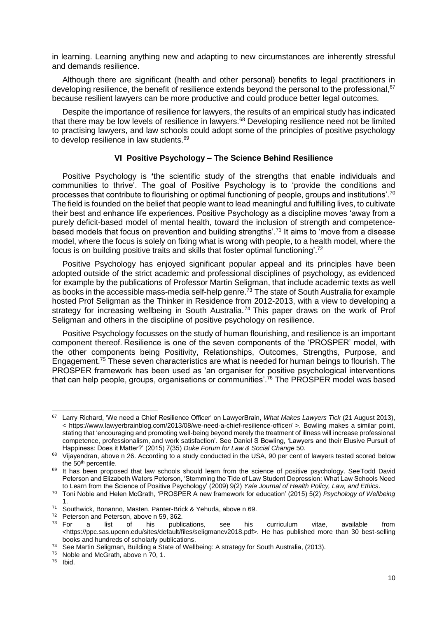in learning. Learning anything new and adapting to new circumstances are inherently stressful and demands resilience.

Although there are significant (health and other personal) benefits to legal practitioners in developing resilience, the benefit of resilience extends beyond the personal to the professional, <sup>67</sup> because resilient lawyers can be more productive and could produce better legal outcomes.

Despite the importance of resilience for lawyers, the results of an empirical study has indicated that there may be low levels of resilience in lawyers.<sup>68</sup> Developing resilience need not be limited to practising lawyers, and law schools could adopt some of the principles of positive psychology to develop resilience in law students.<sup>69</sup>

# **VI Positive Psychology – The Science Behind Resilience**

Positive Psychology is **'**the scientific study of the strengths that enable individuals and communities to thrive'. The goal of Positive Psychology is to 'provide the conditions and processes that contribute to flourishing or optimal functioning of people, groups and institutions'.<sup>70</sup> The field is founded on the belief that people want to lead meaningful and fulfilling lives, to cultivate their best and enhance life experiences. Positive Psychology as a discipline moves 'away from a purely deficit-based model of mental health, toward the inclusion of strength and competencebased models that focus on prevention and building strengths'.<sup>71</sup> It aims to 'move from a disease model, where the focus is solely on fixing what is wrong with people, to a health model, where the focus is on building positive traits and skills that foster optimal functioning'.<sup>72</sup>

Positive Psychology has enjoyed significant popular appeal and its principles have been adopted outside of the strict academic and professional disciplines of psychology, as evidenced for example by the publications of Professor Martin Seligman, that include academic texts as well as books in the accessible mass-media self-help genre.<sup>73</sup> The state of South Australia for example hosted Prof Seligman as the Thinker in Residence from 2012-2013, with a view to developing a strategy for increasing wellbeing in South Australia.<sup>74</sup> This paper draws on the work of Prof Seligman and others in the discipline of positive psychology on resilience.

Positive Psychology focusses on the study of human flourishing, and resilience is an important component thereof. Resilience is one of the seven components of the 'PROSPER' model, with the other components being Positivity, Relationships, Outcomes, Strengths, Purpose, and Engagement.<sup>75</sup> These seven characteristics are what is needed for human beings to flourish. The PROSPER framework has been used as 'an organiser for positive psychological interventions that can help people, groups, organisations or communities'.<sup>76</sup> The PROSPER model was based

l

<sup>67</sup> Larry Richard, 'We need a Chief Resilience Officer' on LawyerBrain, *What Makes Lawyers Tick* (21 August 2013), < https://www.lawyerbrainblog.com/2013/08/we-need-a-chief-resilience-officer/ >. Bowling makes a similar point, stating that 'encouraging and promoting well-being beyond merely the treatment of illness will increase professional competence, professionalism, and work satisfaction'. See Daniel S Bowling, 'Lawyers and their Elusive Pursuit of Happiness: Does it Matter?' (2015) 7(35) *Duke Forum for Law & Social Change* 50.

<sup>68</sup> Vijayendran, above n 26. According to a study conducted in the USA, 90 per cent of lawyers tested scored below the 50<sup>th</sup> percentile.

<sup>&</sup>lt;sup>69</sup> It has been proposed that law schools should learn from the science of positive psychology. SeeTodd David Peterson and Elizabeth Waters Peterson, 'Stemming the Tide of Law Student Depression: What Law Schools Need to Learn from the Science of Positive Psychology' (2009) 9(2) *Yale Journal of Health Policy, Law, and Ethics*.

<sup>70</sup> Toni Noble and Helen McGrath, 'PROSPER A new framework for education' (2015) 5(2) *Psychology of Wellbeing* 1.

<sup>71</sup> Southwick, Bonanno, Masten, Panter-Brick & Yehuda, above n 69.

<sup>&</sup>lt;sup>72</sup> Peterson and Peterson, above n 59, 362.<br><sup>73</sup> For a list of his publi

a list of his publications, see his curriculum vitae, available from <https://ppc.sas.upenn.edu/sites/default/files/seligmancv2018.pdf>. He has published more than 30 best-selling books and hundreds of scholarly publications.

<sup>74</sup> See Martin Seligman, Building a State of Wellbeing: A strategy for South Australia, (2013).

<sup>&</sup>lt;sup>75</sup> Noble and McGrath, above n 70, 1.

<sup>76</sup> Ibid.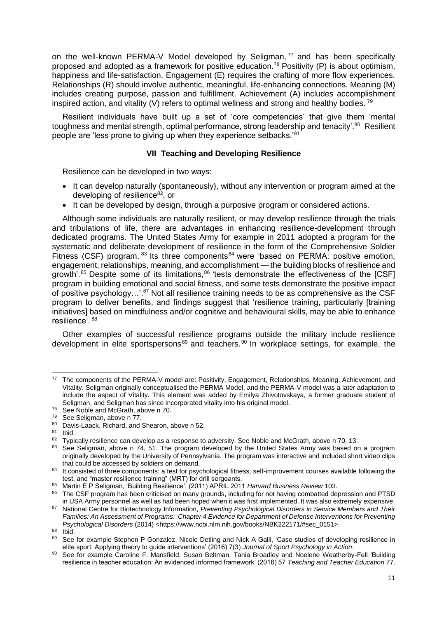on the well-known PERMA-V Model developed by Seligman,<sup>77</sup> and has been specifically proposed and adopted as a framework for positive education.<sup>78</sup> Positivity (P) is about optimism, happiness and life-satisfaction. Engagement (E) requires the crafting of more flow experiences. Relationships (R) should involve authentic, meaningful, life-enhancing connections. Meaning (M) includes creating purpose, passion and fulfillment. Achievement (A) includes accomplishment inspired action, and vitality (V) refers to optimal wellness and strong and healthy bodies.  $79$ 

Resilient individuals have built up a set of 'core competencies' that give them 'mental toughness and mental strength, optimal performance, strong leadership and tenacity'.<sup>80</sup> Resilient people are 'less prone to giving up when they experience setbacks.'81

# **VII Teaching and Developing Resilience**

Resilience can be developed in two ways:

- It can develop naturally (spontaneously), without any intervention or program aimed at the developing of resilience<sup>82</sup>, or
- It can be developed by design, through a purposive program or considered actions.

Although some individuals are naturally resilient, or may develop resilience through the trials and tribulations of life, there are advantages in enhancing resilience-development through dedicated programs. The United States Army for example in 2011 adopted a program for the systematic and deliberate development of resilience in the form of the Comprehensive Soldier Fitness (CSF) program.  $83$  Its three components  $84$  were 'based on PERMA: positive emotion, engagement, relationships, meaning, and accomplishment — the building blocks of resilience and growth'. $85$  Despite some of its limitations,  $86$  'tests demonstrate the effectiveness of the [CSF] program in building emotional and social fitness, and some tests demonstrate the positive impact of positive psychology...'.<sup>87</sup> Not all resilience training needs to be as comprehensive as the CSF program to deliver benefits, and findings suggest that 'resilience training, particularly [training initiatives] based on mindfulness and/or cognitive and behavioural skills, may be able to enhance resilience'. <sup>88</sup>

Other examples of successful resilience programs outside the military include resilience development in elite sportspersons<sup>89</sup> and teachers.<sup>90</sup> In workplace settings, for example, the

l

<sup>77</sup> The components of the PERMA-V model are: Positivity, Engagement, Relationships, Meaning, Achievement, and Vitality. Seligman originally conceptualised the PERMA Model, and the PERMA-V model was a later adaptation to include the aspect of Vitality. This element was added by Emilya Zhivotovskaya, a former graduate student of Seligman, and Seligman has since incorporated vitality into his original model.

 $78$  See Noble and McGrath, above n 70.

 $79$  See Seligman, above n 77.

<sup>80</sup> Davis-Laack, Richard, and Shearon, above n 52.

 $\frac{81}{82}$  Ibid.

Typically resilience can develop as a response to adversity. See Noble and McGrath, above n 70, 13.

<sup>83</sup> See Seligman, above n 74, 51. The program developed by the United States Army was based on a program originally developed by the University of Pennsylvania. The program was interactive and included short video clips that could be accessed by soldiers on demand.

<sup>84</sup> It consisted of three components: a test for psychological fitness, self-improvement courses available following the test, and "master resilience training" (MRT) for drill sergeants.

<sup>85</sup> Martin E P Seligman, 'Building Resilience', (2011) APRIL 2011 *Harvard Business Review* 103.

<sup>86</sup> The CSF program has been criticised on many grounds, including for not having combatted depression and PTSD in USA Army personnel as well as had been hoped when it was first implemented. It was also extremely expensive.

<sup>87</sup> National Centre for Biotechnology Information, *Preventing Psychological Disorders in Service Members and Their Families: An Assessment of Programs: Chapter 4 Evidence for Department of Defense Interventions for Preventing Psychological Disorders* (2014) <https://www.ncbi.nlm.nih.gov/books/NBK222171/#sec\_0151>.

 $\frac{88}{89}$  Ibid.

See for example Stephen P Gonzalez, Nicole Detling and Nick A Galli, 'Case studies of developing resilience in elite sport: Applying theory to guide interventions' (2016) 7(3) *Journal of Sport Psychology in Action*.

<sup>90</sup> See for example Caroline F. Mansfield, Susan Beltman, Tania Broadley and Noelene Weatherby-Fell 'Building resilience in teacher education: An evidenced informed framework' (2016) 57 *Teaching and Teacher Education* 77.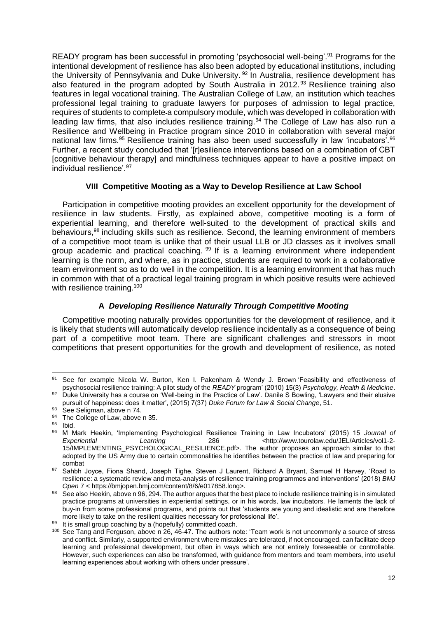READY program has been successful in promoting 'psychosocial well-being'.<sup>91</sup> Programs for the intentional development of resilience has also been adopted by educational institutions, including the University of Pennsylvania and Duke University. <sup>92</sup> In Australia, resilience development has also featured in the program adopted by South Australia in 2012.<sup>93</sup> Resilience training also features in legal vocational training. The Australian College of Law, an institution which teaches professional legal training to graduate lawyers for purposes of admission to legal practice, requires of students to complete a compulsory module, which was developed in collaboration with leading law firms, that also includes resilience training.<sup>94</sup> The College of Law has also run a Resilience and Wellbeing in Practice program since 2010 in collaboration with several major national law firms.<sup>95</sup> Resilience training has also been used successfully in law 'incubators'.<sup>96</sup> Further, a recent study concluded that '[r]esilience interventions based on a combination of CBT [cognitive behaviour therapy] and mindfulness techniques appear to have a positive impact on individual resilience'.<sup>97</sup>

# **VIII Competitive Mooting as a Way to Develop Resilience at Law School**

Participation in competitive mooting provides an excellent opportunity for the development of resilience in law students. Firstly, as explained above, competitive mooting is a form of experiential learning, and therefore well-suited to the development of practical skills and behaviours,<sup>98</sup> including skills such as resilience. Second, the learning environment of members of a competitive moot team is unlike that of their usual LLB or JD classes as it involves small group academic and practical coaching. <sup>99</sup> If is a learning environment where independent learning is the norm, and where, as in practice, students are required to work in a collaborative team environment so as to do well in the competition. It is a learning environment that has much in common with that of a practical legal training program in which positive results were achieved with resilience training.<sup>100</sup>

# **A** *Developing Resilience Naturally Through Competitive Mooting*

Competitive mooting naturally provides opportunities for the development of resilience, and it is likely that students will automatically develop resilience incidentally as a consequence of being part of a competitive moot team. There are significant challenges and stressors in moot competitions that present opportunities for the growth and development of resilience, as noted

 $91$ See for example Nicola W. Burton, Ken I. Pakenham & Wendy J. Brown 'Feasibility and effectiveness of psychosocial resilience training: A pilot study of the *READY* program' (2010) 15(3) *Psychology, Health & Medicine*. 92 Duke University has a course on 'Well-being in the Practice of Law'. Danile S Bowling, 'Lawyers and their elusive

pursuit of happiness: does it matter', (2015) 7(37) *Duke Forum for Law & Social Change*, 51.

 $93$  See Seligman, above n 74.

 $^{94}$  The College of Law, above n 35.

 $\frac{95}{96}$  Ibid.

<sup>96</sup> M Mark Heekin, 'Implementing Psychological Resilience Training in Law Incubators' (2015) 15 *Journal of*  Experiential Learning 286 <http://www.tourolaw.edu/JEL/Articles/vol1-2-15/IMPLEMENTING\_PSYCHOLOGICAL\_RESILIENCE.pdf>. The author proposes an approach similar to that adopted by the US Army due to certain commonalities he identifies between the practice of law and preparing for combat

<sup>97</sup> Sahbh Joyce, Fiona Shand, Joseph Tighe, Steven J Laurent, Richard A Bryant, Samuel H Harvey, 'Road to resilience: a systematic review and meta-analysis of resilience training programmes and interventions' (2018) *BMJ Open* 7 < https://bmjopen.bmj.com/content/8/6/e017858.long>.

<sup>98</sup> See also Heekin, above n 96, 294. The author argues that the best place to include resilience training is in simulated practice programs at universities in experiential settings, or in his words, law incubators. He laments the lack of buy-in from some professional programs, and points out that 'students are young and idealistic and are therefore more likely to take on the resilient qualities necessary for professional life'.

<sup>99</sup> It is small group coaching by a (hopefully) committed coach.

<sup>&</sup>lt;sup>100</sup> See Tang and Ferguson, above n 26, 46-47. The authors note: 'Team work is not uncommonly a source of stress and conflict. Similarly, a supported environment where mistakes are tolerated, if not encouraged, can facilitate deep learning and professional development, but often in ways which are not entirely foreseeable or controllable. However, such experiences can also be transformed, with guidance from mentors and team members, into useful learning experiences about working with others under pressure'.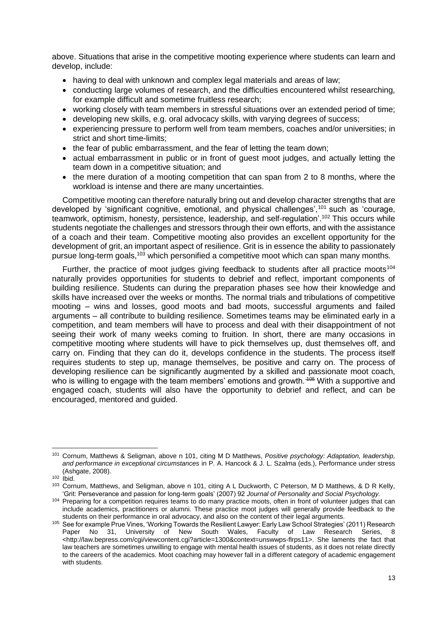above. Situations that arise in the competitive mooting experience where students can learn and develop, include:

- having to deal with unknown and complex legal materials and areas of law;
- conducting large volumes of research, and the difficulties encountered whilst researching, for example difficult and sometime fruitless research;
- working closely with team members in stressful situations over an extended period of time:
- developing new skills, e.g. oral advocacy skills, with varying degrees of success;
- experiencing pressure to perform well from team members, coaches and/or universities; in strict and short time-limits;
- the fear of public embarrassment, and the fear of letting the team down;
- actual embarrassment in public or in front of guest moot judges, and actually letting the team down in a competitive situation; and
- the mere duration of a mooting competition that can span from 2 to 8 months, where the workload is intense and there are many uncertainties.

Competitive mooting can therefore naturally bring out and develop character strengths that are developed by 'significant cognitive, emotional, and physical challenges',<sup>101</sup> such as 'courage, teamwork, optimism, honesty, persistence, leadership, and self-regulation'.<sup>102</sup> This occurs while students negotiate the challenges and stressors through their own efforts, and with the assistance of a coach and their team. Competitive mooting also provides an excellent opportunity for the development of grit, an important aspect of resilience. Grit is in essence the ability to passionately pursue long-term goals,<sup>103</sup> which personified a competitive moot which can span many months.

Further, the practice of moot judges giving feedback to students after all practice moots<sup>104</sup> naturally provides opportunities for students to debrief and reflect, important components of building resilience. Students can during the preparation phases see how their knowledge and skills have increased over the weeks or months. The normal trials and tribulations of competitive mooting – wins and losses, good moots and bad moots, successful arguments and failed arguments – all contribute to building resilience. Sometimes teams may be eliminated early in a competition, and team members will have to process and deal with their disappointment of not seeing their work of many weeks coming to fruition. In short, there are many occasions in competitive mooting where students will have to pick themselves up, dust themselves off, and carry on. Finding that they can do it, develops confidence in the students. The process itself requires students to step up, manage themselves, be positive and carry on. The process of developing resilience can be significantly augmented by a skilled and passionate moot coach, who is willing to engage with the team members' emotions and growth. <sup>405</sup> With a supportive and engaged coach, students will also have the opportunity to debrief and reflect, and can be encouraged, mentored and guided.

l <sup>101</sup> Cornum, Matthews & Seligman, above n 101, citing M D Matthews, *Positive psychology: Adaptation, leadership, and performance in exceptional circumstances* in P. A. Hancock & J. L. Szalma (eds.), Performance under stress (Ashgate, 2008).

 $102$  lbid.

<sup>103</sup> Cornum, Matthews, and Seligman, above n 101, citing A L Duckworth, C Peterson, M D Matthews, & D R Kelly, 'Grit: Perseverance and passion for long-term goals' (2007) 92 *Journal of Personality and Social Psychology.*

<sup>104</sup> Preparing for a competition requires teams to do many practice moots, often in front of volunteer judges that can include academics, practitioners or alumni. These practice moot judges will generally provide feedback to the students on their performance in oral advocacy, and also on the content of their legal arguments.

<sup>&</sup>lt;sup>105</sup> See for example Prue Vines, 'Working Towards the Resilient Lawyer: Early Law School Strategies' (2011) Research<br>Paper No 31, University of New South Wales, Faculty of Law Research Series. 8 Paper No 31, University of New South Wales, Faculty of Law Research Series, 8 <http://law.bepress.com/cgi/viewcontent.cgi?article=1300&context=unswwps-flrps11>. She laments the fact that law teachers are sometimes unwilling to engage with mental health issues of students, as it does not relate directly to the careers of the academics. Moot coaching may however fall in a different category of academic engagement with students.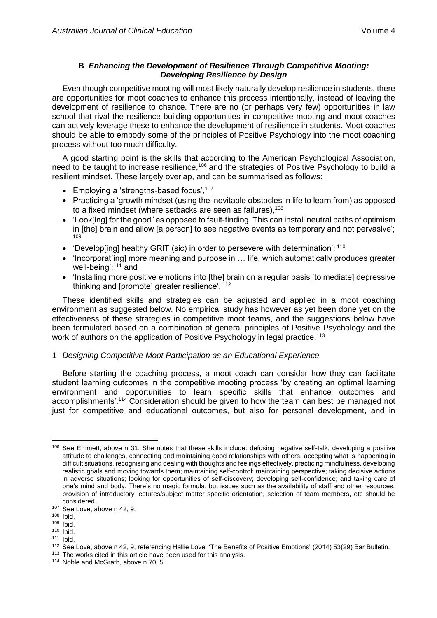# **B** *Enhancing the Development of Resilience Through Competitive Mooting: Developing Resilience by Design*

Even though competitive mooting will most likely naturally develop resilience in students, there are opportunities for moot coaches to enhance this process intentionally, instead of leaving the development of resilience to chance. There are no (or perhaps very few) opportunities in law school that rival the resilience-building opportunities in competitive mooting and moot coaches can actively leverage these to enhance the development of resilience in students. Moot coaches should be able to embody some of the principles of Positive Psychology into the moot coaching process without too much difficulty.

A good starting point is the skills that according to the American Psychological Association, need to be taught to increase resilience,<sup>106</sup> and the strategies of Positive Psychology to build a resilient mindset. These largely overlap, and can be summarised as follows:

- Employing a 'strengths-based focus',  $107$
- Practicing a 'growth mindset (using the inevitable obstacles in life to learn from) as opposed to a fixed mindset (where setbacks are seen as failures).<sup>108</sup>
- 'Look[ing] for the good" as opposed to fault-finding. This can install neutral paths of optimism in [the] brain and allow [a person] to see negative events as temporary and not pervasive'; 109
- 'Develop[ing] healthy GRIT (sic) in order to persevere with determination'; 110
- 'Incorporat[ing] more meaning and purpose in … life, which automatically produces greater well-being';<sup>111</sup> and
- 'Installing more positive emotions into [the] brain on a regular basis [to mediate] depressive thinking and [promote] greater resilience'. <sup>112</sup>

These identified skills and strategies can be adjusted and applied in a moot coaching environment as suggested below. No empirical study has however as yet been done yet on the effectiveness of these strategies in competitive moot teams, and the suggestions below have been formulated based on a combination of general principles of Positive Psychology and the work of authors on the application of Positive Psychology in legal practice.<sup>113</sup>

# 1 *Designing Competitive Moot Participation as an Educational Experience*

Before starting the coaching process, a moot coach can consider how they can facilitate student learning outcomes in the competitive mooting process 'by creating an optimal learning environment and opportunities to learn specific skills that enhance outcomes and accomplishments'.<sup>114</sup> Consideration should be given to how the team can best be managed not just for competitive and educational outcomes, but also for personal development, and in

 $111$  Ibid.

 $\overline{a}$ 106 See Emmett, above n 31. She notes that these skills include: defusing negative self-talk, developing a positive attitude to challenges, connecting and maintaining good relationships with others, accepting what is happening in difficult situations, recognising and dealing with thoughts and feelings effectively, practicing mindfulness, developing realistic goals and moving towards them; maintaining self-control; maintaining perspective; taking decisive actions in adverse situations; looking for opportunities of self-discovery; developing self-confidence; and taking care of one's mind and body. There's no magic formula, but issues such as the availability of staff and other resources, provision of introductory lectures/subject matter specific orientation, selection of team members, etc should be considered.

<sup>107</sup> See Love, above n 42, 9.

<sup>108</sup> Ibid.

<sup>109</sup> Ibid.

<sup>110</sup> Ibid.

<sup>112</sup> See Love, above n 42, 9, referencing Hallie Love, 'The Benefits of Positive Emotions' (2014) 53(29) Bar Bulletin.

<sup>&</sup>lt;sup>113</sup> The works cited in this article have been used for this analysis.

<sup>114</sup> Noble and McGrath, above n 70, 5.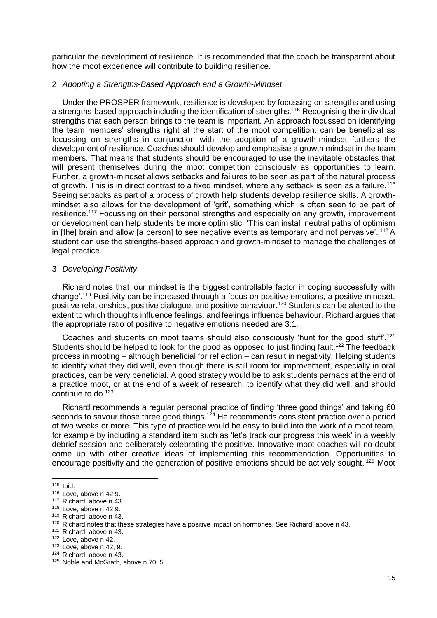particular the development of resilience. It is recommended that the coach be transparent about how the moot experience will contribute to building resilience.

#### 2 *Adopting a Strengths-Based Approach and a Growth-Mindset*

Under the PROSPER framework, resilience is developed by focussing on strengths and using a strengths-based approach including the identification of strengths.<sup>115</sup> Recognising the individual strengths that each person brings to the team is important. An approach focussed on identifying the team members' strengths right at the start of the moot competition, can be beneficial as focussing on strengths in conjunction with the adoption of a growth-mindset furthers the development of resilience. Coaches should develop and emphasise a growth mindset in the team members. That means that students should be encouraged to use the inevitable obstacles that will present themselves during the moot competition consciously as opportunities to learn. Further, a growth-mindset allows setbacks and failures to be seen as part of the natural process of growth. This is in direct contrast to a fixed mindset, where any setback is seen as a failure.<sup>116</sup> Seeing setbacks as part of a process of growth help students develop resilience skills. A growthmindset also allows for the development of 'grit', something which is often seen to be part of resilience.<sup>117</sup> Focussing on their personal strengths and especially on any growth, improvement or development can help students be more optimistic. 'This can install neutral paths of optimism in [the] brain and allow [a person] to see negative events as temporary and not pervasive'. <sup>118</sup> A student can use the strengths-based approach and growth-mindset to manage the challenges of legal practice.

#### 3 *Developing Positivity*

Richard notes that 'our mindset is the biggest controllable factor in coping successfully with change'.<sup>119</sup> Positivity can be increased through a focus on positive emotions, a positive mindset, positive relationships, positive dialogue, and positive behaviour.<sup>120</sup> Students can be alerted to the extent to which thoughts influence feelings, and feelings influence behaviour. Richard argues that the appropriate ratio of positive to negative emotions needed are 3:1.

Coaches and students on moot teams should also consciously 'hunt for the good stuff'.<sup>121</sup> Students should be helped to look for the good as opposed to just finding fault.<sup>122</sup> The feedback process in mooting – although beneficial for reflection – can result in negativity. Helping students to identify what they did well, even though there is still room for improvement, especially in oral practices, can be very beneficial. A good strategy would be to ask students perhaps at the end of a practice moot, or at the end of a week of research, to identify what they did well, and should continue to do. $123$ 

Richard recommends a regular personal practice of finding 'three good things' and taking 60 seconds to savour those three good things.<sup>124</sup> He recommends consistent practice over a period of two weeks or more. This type of practice would be easy to build into the work of a moot team, for example by including a standard item such as 'let's track our progress this week' in a weekly debrief session and deliberately celebrating the positive. Innovative moot coaches will no doubt come up with other creative ideas of implementing this recommendation. Opportunities to encourage positivity and the generation of positive emotions should be actively sought.<sup>125</sup> Moot

 $\overline{a}$ 

<sup>121</sup> Richard, above n 43.

<sup>115</sup> Ibid.

<sup>116</sup> Love, above n 42 9.

<sup>117</sup> Richard, above n 43.

<sup>118</sup> Love, above n 42 9.

<sup>119</sup> Richard, above n 43.

<sup>&</sup>lt;sup>120</sup> Richard notes that these strategies have a positive impact on hormones. See Richard, above n 43.

<sup>122</sup> Love, above n 42.

<sup>123</sup> Love, above n 42, 9.

<sup>124</sup> Richard, above n 43.

<sup>125</sup> Noble and McGrath, above n 70, 5.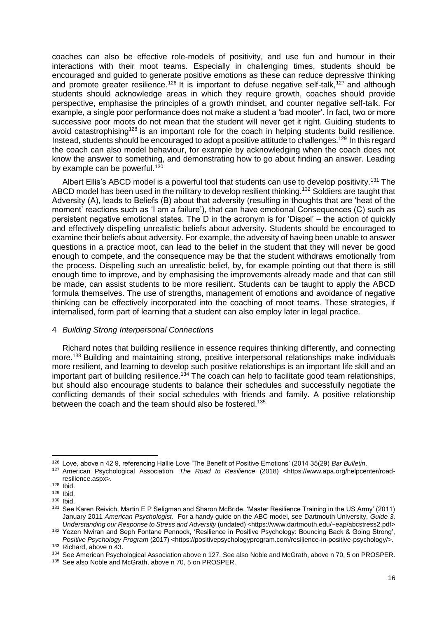coaches can also be effective role-models of positivity, and use fun and humour in their interactions with their moot teams. Especially in challenging times, students should be encouraged and guided to generate positive emotions as these can reduce depressive thinking and promote greater resilience.<sup>126</sup> It is important to defuse negative self-talk,<sup>127</sup> and although students should acknowledge areas in which they require growth, coaches should provide perspective, emphasise the principles of a growth mindset, and counter negative self-talk. For example, a single poor performance does not make a student a 'bad mooter'. In fact, two or more successive poor moots do not mean that the student will never get it right. Guiding students to avoid catastrophising<sup>128</sup> is an important role for the coach in helping students build resilience. Instead, students should be encouraged to adopt a positive attitude to challenges.<sup>129</sup> In this regard the coach can also model behaviour, for example by acknowledging when the coach does not know the answer to something, and demonstrating how to go about finding an answer. Leading by example can be powerful.<sup>130</sup>

Albert Ellis's ABCD model is a powerful tool that students can use to develop positivity.<sup>131</sup> The ABCD model has been used in the military to develop resilient thinking.<sup>132</sup> Soldiers are taught that Adversity (A), leads to Beliefs (B) about that adversity (resulting in thoughts that are 'heat of the moment' reactions such as 'I am a failure'), that can have emotional Consequences (C) such as persistent negative emotional states. The D in the acronym is for 'Dispel' – the action of quickly and effectively dispelling unrealistic beliefs about adversity. Students should be encouraged to examine their beliefs about adversity. For example, the adversity of having been unable to answer questions in a practice moot, can lead to the belief in the student that they will never be good enough to compete, and the consequence may be that the student withdraws emotionally from the process. Dispelling such an unrealistic belief, by, for example pointing out that there is still enough time to improve, and by emphasising the improvements already made and that can still be made, can assist students to be more resilient. Students can be taught to apply the ABCD formula themselves. The use of strengths, management of emotions and avoidance of negative thinking can be effectively incorporated into the coaching of moot teams. These strategies, if internalised, form part of learning that a student can also employ later in legal practice.

#### 4 *Building Strong Interpersonal Connections*

Richard notes that building resilience in essence requires thinking differently, and connecting more.<sup>133</sup> Building and maintaining strong, positive interpersonal relationships make individuals more resilient, and learning to develop such positive relationships is an important life skill and an important part of building resilience.<sup>134</sup> The coach can help to facilitate good team relationships, but should also encourage students to balance their schedules and successfully negotiate the conflicting demands of their social schedules with friends and family. A positive relationship between the coach and the team should also be fostered.<sup>135</sup>

<sup>126</sup> Love, above n 42 9, referencing Hallie Love 'The Benefit of Positive Emotions' (2014 35(29) *Bar Bulletin*.

<sup>127</sup> American Psychological Association, *The Road to Resilience* (2018) <https://www.apa.org/helpcenter/roadresilience.aspx>.

<sup>128</sup> Ibid.

<sup>129</sup> Ibid.

<sup>130</sup> Ibid.

<sup>131</sup> See Karen Reivich, Martin E P Seligman and Sharon McBride, 'Master Resilience Training in the US Army' (2011) January 2011 *American Psychologist*. For a handy guide on the ABC model, see Dartmouth University, *Guide 3, Understanding our Response to Stress and Adversity* (undated) <https://www.dartmouth.edu/~eap/abcstress2.pdf>

<sup>132</sup> Yezen Nwiran and Seph Fontane Pennock, 'Resilience in Positive Psychology: Bouncing Back & Going Strong', *Positive Psychology Program* (2017) <https://positivepsychologyprogram.com/resilience-in-positive-psychology/>. <sup>133</sup> Richard, above n 43.

<sup>134</sup> See American Psychological Association above n 127. See also Noble and McGrath, above n 70, 5 on PROSPER.

<sup>135</sup> See also Noble and McGrath, above n 70, 5 on PROSPER.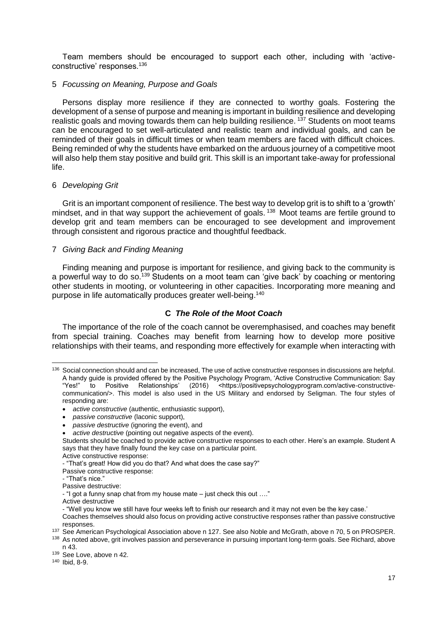Team members should be encouraged to support each other, including with 'activeconstructive' responses.<sup>136</sup>

#### 5 *Focussing on Meaning, Purpose and Goals*

Persons display more resilience if they are connected to worthy goals. Fostering the development of a sense of purpose and meaning is important in building resilience and developing realistic goals and moving towards them can help building resilience. <sup>137</sup> Students on moot teams can be encouraged to set well-articulated and realistic team and individual goals, and can be reminded of their goals in difficult times or when team members are faced with difficult choices. Being reminded of why the students have embarked on the arduous journey of a competitive moot will also help them stay positive and build grit. This skill is an important take-away for professional life.

### 6 *Developing Grit*

Grit is an important component of resilience. The best way to develop grit is to shift to a 'growth' mindset, and in that way support the achievement of goals.<sup>138</sup> Moot teams are fertile ground to develop grit and team members can be encouraged to see development and improvement through consistent and rigorous practice and thoughtful feedback.

### 7 *Giving Back and Finding Meaning*

Finding meaning and purpose is important for resilience, and giving back to the community is a powerful way to do so.<sup>139</sup> Students on a moot team can 'give back' by coaching or mentoring other students in mooting, or volunteering in other capacities. Incorporating more meaning and purpose in life automatically produces greater well-being.<sup>140</sup>

# **C** *The Role of the Moot Coach*

The importance of the role of the coach cannot be overemphasised, and coaches may benefit from special training. Coaches may benefit from learning how to develop more positive relationships with their teams, and responding more effectively for example when interacting with

<sup>&</sup>lt;sup>136</sup> Social connection should and can be increased, The use of active constructive responses in discussions are helpful. A handy guide is provided offered by the Positive Psychology Program, 'Active Constructive Communication: Say "Yes!" to Positive Relationships' (2016) <https://positivepsychologyprogram.com/active-constructivecommunication/>. This model is also used in the US Military and endorsed by Seligman. The four styles of responding are:

<sup>•</sup> *active constructive* (authentic, enthusiastic support),

<sup>•</sup> *passive constructive* (laconic support),

<sup>•</sup> *passive destructive* (ignoring the event), and

<sup>•</sup> *active destructive* (pointing out negative aspects of the event).

Students should be coached to provide active constructive responses to each other. Here's an example. Student A says that they have finally found the key case on a particular point.

Active constructive response:

<sup>-</sup> "That's great! How did you do that? And what does the case say?"

Passive constructive response:

<sup>-</sup> "That's nice."

Passive destructive:

<sup>-</sup> "I got a funny snap chat from my house mate – just check this out …."

Active destructive

<sup>-</sup> "Well you know we still have four weeks left to finish our research and it may not even be the key case.'

Coaches themselves should also focus on providing active constructive responses rather than passive constructive responses.

<sup>137</sup> See American Psychological Association above n 127. See also Noble and McGrath, above n 70, 5 on PROSPER.

<sup>138</sup> As noted above, grit involves passion and perseverance in pursuing important long-term goals. See Richard, above n 43.

<sup>139</sup> See Love, above n 42.

<sup>140</sup> Ibid, 8-9.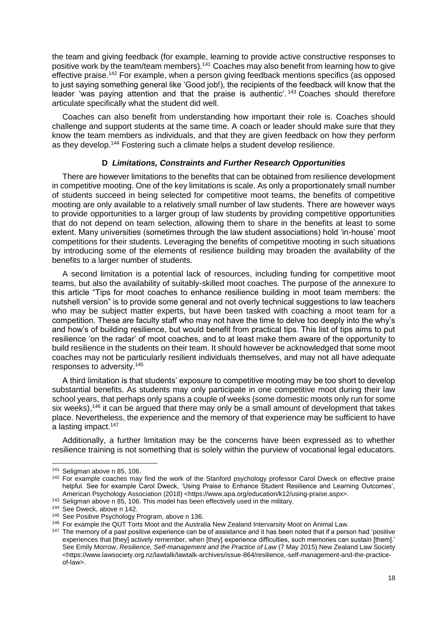the team and giving feedback (for example, learning to provide active constructive responses to positive work by the team/team members).<sup>141</sup> Coaches may also benefit from learning how to give effective praise.<sup>142</sup> For example, when a person giving feedback mentions specifics (as opposed to just saying something general like 'Good job!), the recipients of the feedback will know that the leader 'was paying attention and that the praise is authentic'.<sup>143</sup> Coaches should therefore articulate specifically what the student did well.

Coaches can also benefit from understanding how important their role is. Coaches should challenge and support students at the same time. A coach or leader should make sure that they know the team members as individuals, and that they are given feedback on how they perform as they develop.<sup>144</sup> Fostering such a climate helps a student develop resilience.

### **D** *Limitations, Constraints and Further Research Opportunities*

There are however limitations to the benefits that can be obtained from resilience development in competitive mooting. One of the key limitations is scale. As only a proportionately small number of students succeed in being selected for competitive moot teams, the benefits of competitive mooting are only available to a relatively small number of law students. There are however ways to provide opportunities to a larger group of law students by providing competitive opportunities that do not depend on team selection, allowing them to share in the benefits at least to some extent. Many universities (sometimes through the law student associations) hold 'in-house' moot competitions for their students. Leveraging the benefits of competitive mooting in such situations by introducing some of the elements of resilience building may broaden the availability of the benefits to a larger number of students.

A second limitation is a potential lack of resources, including funding for competitive moot teams, but also the availability of suitably-skilled moot coaches. The purpose of the annexure to this article "Tips for moot coaches to enhance resilience building in moot team members: the nutshell version" is to provide some general and not overly technical suggestions to law teachers who may be subject matter experts, but have been tasked with coaching a moot team for a competition. These are faculty staff who may not have the time to delve too deeply into the why's and how's of building resilience, but would benefit from practical tips. This list of tips aims to put resilience 'on the radar' of moot coaches, and to at least make them aware of the opportunity to build resilience in the students on their team. It should however be acknowledged that some moot coaches may not be particularly resilient individuals themselves, and may not all have adequate responses to adversity.<sup>145</sup>

A third limitation is that students' exposure to competitive mooting may be too short to develop substantial benefits. As students may only participate in one competitive moot during their law school years, that perhaps only spans a couple of weeks (some domestic moots only run for some six weeks),<sup>146</sup> it can be argued that there may only be a small amount of development that takes place. Nevertheless, the experience and the memory of that experience may be sufficient to have a lasting impact.<sup>147</sup>

Additionally, a further limitation may be the concerns have been expressed as to whether resilience training is not something that is solely within the purview of vocational legal educators.

<sup>&</sup>lt;sup>141</sup> Seligman above n 85, 106.

<sup>&</sup>lt;sup>142</sup> For example coaches may find the work of the Stanford psychology professor Carol Dweck on effective praise helpful. See for example Carol Dweck, 'Using Praise to Enhance Student Resilience and Learning Outcomes', American Psychology Association (2018) <https://www.apa.org/education/k12/using-praise.aspx>.

<sup>&</sup>lt;sup>143</sup> Seligman above n 85, 106. This model has been effectively used in the military.

<sup>&</sup>lt;sup>144</sup> See Dweck, above n 142.

<sup>145</sup> See Positive Psychology Program, above n 136.

<sup>&</sup>lt;sup>146</sup> For example the QUT Torts Moot and the Australia New Zealand Intervarsity Moot on Animal Law.

<sup>&</sup>lt;sup>147</sup> The memory of a past positive experience can be of assistance and it has been noted that if a person had 'positive experiences that [they] actively remember, when [they] experience difficulties, such memories can sustain [them].' See Emily Morrow, *Resilience, Self-management and the Practice of Law* (7 May 2015) New Zealand Law Society <https://www.lawsociety.org.nz/lawtalk/lawtalk-archives/issue-864/resilience,-self-management-and-the-practiceof-law>.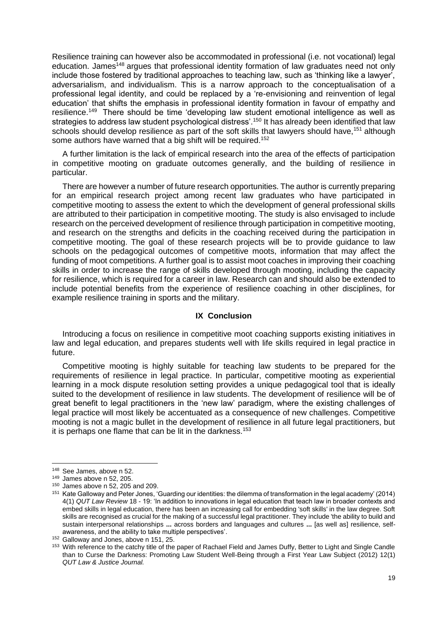Resilience training can however also be accommodated in professional (i.e. not vocational) legal education. James<sup>148</sup> argues that professional identity formation of law graduates need not only include those fostered by traditional approaches to teaching law, such as 'thinking like a lawyer', adversarialism, and individualism. This is a narrow approach to the conceptualisation of a professional legal identity, and could be replaced by a 're-envisioning and reinvention of legal education' that shifts the emphasis in professional identity formation in favour of empathy and resilience.<sup>149</sup> There should be time 'developing law student emotional intelligence as well as strategies to address law student psychological distress'.<sup>150</sup> It has already been identified that law schools should develop resilience as part of the soft skills that lawyers should have,<sup>151</sup> although some authors have warned that a big shift will be required.<sup>152</sup>

A further limitation is the lack of empirical research into the area of the effects of participation in competitive mooting on graduate outcomes generally, and the building of resilience in particular.

There are however a number of future research opportunities. The author is currently preparing for an empirical research project among recent law graduates who have participated in competitive mooting to assess the extent to which the development of general professional skills are attributed to their participation in competitive mooting. The study is also envisaged to include research on the perceived development of resilience through participation in competitive mooting, and research on the strengths and deficits in the coaching received during the participation in competitive mooting. The goal of these research projects will be to provide guidance to law schools on the pedagogical outcomes of competitive moots, information that may affect the funding of moot competitions. A further goal is to assist moot coaches in improving their coaching skills in order to increase the range of skills developed through mooting, including the capacity for resilience, which is required for a career in law. Research can and should also be extended to include potential benefits from the experience of resilience coaching in other disciplines, for example resilience training in sports and the military.

#### **IX Conclusion**

Introducing a focus on resilience in competitive moot coaching supports existing initiatives in law and legal education, and prepares students well with life skills required in legal practice in future.

Competitive mooting is highly suitable for teaching law students to be prepared for the requirements of resilience in legal practice. In particular, competitive mooting as experiential learning in a mock dispute resolution setting provides a unique pedagogical tool that is ideally suited to the development of resilience in law students. The development of resilience will be of great benefit to legal practitioners in the 'new law' paradigm, where the existing challenges of legal practice will most likely be accentuated as a consequence of new challenges. Competitive mooting is not a magic bullet in the development of resilience in all future legal practitioners, but it is perhaps one flame that can be lit in the darkness.<sup>153</sup>

 $\overline{a}$ <sup>148</sup> See James, above n 52.

<sup>149</sup> James above n 52, 205.

<sup>150</sup> James above n 52, 205 and 209.

<sup>151</sup> Kate Galloway and Peter Jones, 'Guarding our identities: the dilemma of transformation in the legal academy' (2014) 4(1) *QUT Law Review* 18 - 19: 'In addition to innovations in legal education that teach law in broader contexts and embed skills in legal education, there has been an increasing call for embedding 'soft skills' in the law degree. Soft skills are recognised as crucial for the making of a successful legal practitioner. They include 'the ability to build and sustain interpersonal relationships **...** across borders and languages and cultures **...** [as well as] resilience, selfawareness, and the ability to take multiple perspectives'.

<sup>152</sup> Galloway and Jones, above n 151, 25.

<sup>153</sup> With reference to the catchy title of the paper of Rachael Field and James Duffy, Better to Light and Single Candle than to Curse the Darkness: Promoting Law Student Well-Being through a First Year Law Subject (2012) 12(1) *QUT Law & Justice Journal.*